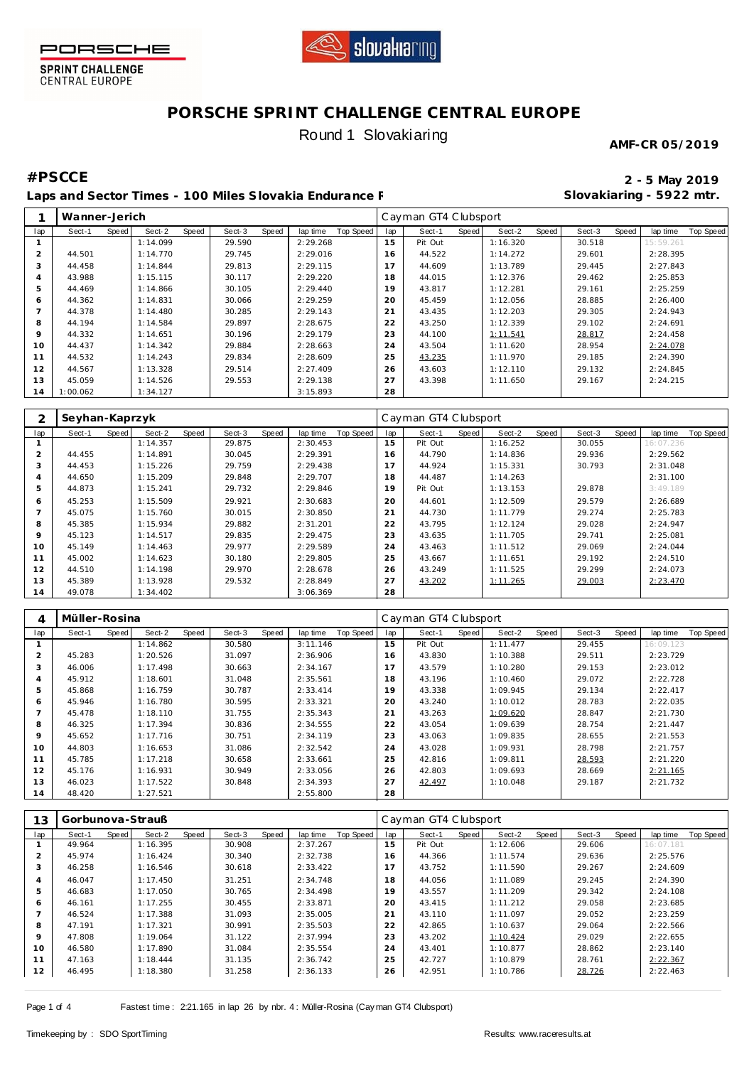



# **PORSCHE SPRINT CHALLENGE CENTRAL EUROPE** Round 1 Slovakiaring

**AMF-CR 05/2019**

**Slovakiaring - 5922 mtr.**

## **#PSCCE 2 - 5 May 2019**

Laps and Sector Times - 100 Miles Slovakia Endurance F

|                | Wanner-Jerich |       |          |       |        |       |          |           |     | Cayman GT4 Clubsport |       |          |       |        |       |           |           |
|----------------|---------------|-------|----------|-------|--------|-------|----------|-----------|-----|----------------------|-------|----------|-------|--------|-------|-----------|-----------|
| lap            | Sect-1        | Speed | Sect-2   | Speed | Sect-3 | Speed | lap time | Top Speed | lap | Sect-1               | Speed | Sect-2   | Speed | Sect-3 | Speed | lap time  | Top Speed |
|                |               |       | 1:14.099 |       | 29.590 |       | 2:29.268 |           | 15  | Pit Out              |       | 1:16.320 |       | 30.518 |       | 15:59.261 |           |
| $\overline{2}$ | 44.501        |       | 1:14.770 |       | 29.745 |       | 2:29.016 |           | 16  | 44.522               |       | 1:14.272 |       | 29.601 |       | 2:28.395  |           |
| 3              | 44.458        |       | 1:14.844 |       | 29.813 |       | 2:29.115 |           | 17  | 44.609               |       | 1:13.789 |       | 29.445 |       | 2:27.843  |           |
| 4              | 43.988        |       | 1:15.115 |       | 30.117 |       | 2:29.220 |           | 18  | 44.015               |       | 1:12.376 |       | 29.462 |       | 2:25.853  |           |
| 5              | 44.469        |       | 1:14.866 |       | 30.105 |       | 2:29.440 |           | 19  | 43.817               |       | 1:12.281 |       | 29.161 |       | 2:25.259  |           |
| 6              | 44.362        |       | 1:14.831 |       | 30.066 |       | 2:29.259 |           | 20  | 45.459               |       | 1:12.056 |       | 28.885 |       | 2:26.400  |           |
|                | 44.378        |       | 1:14.480 |       | 30.285 |       | 2:29.143 |           | 21  | 43.435               |       | 1:12.203 |       | 29.305 |       | 2:24.943  |           |
| 8              | 44.194        |       | 1:14.584 |       | 29.897 |       | 2:28.675 |           | 22  | 43.250               |       | 1:12.339 |       | 29.102 |       | 2:24.691  |           |
| $\circ$        | 44.332        |       | 1:14.651 |       | 30.196 |       | 2:29.179 |           | 23  | 44.100               |       | 1:11.541 |       | 28.817 |       | 2:24.458  |           |
| 10             | 44.437        |       | 1:14.342 |       | 29.884 |       | 2:28.663 |           | 24  | 43.504               |       | 1:11.620 |       | 28.954 |       | 2:24.078  |           |
| 11             | 44.532        |       | 1:14.243 |       | 29.834 |       | 2:28.609 |           | 25  | 43.235               |       | 1:11.970 |       | 29.185 |       | 2:24.390  |           |
| 12             | 44.567        |       | 1:13.328 |       | 29.514 |       | 2:27.409 |           | 26  | 43.603               |       | 1:12.110 |       | 29.132 |       | 2:24.845  |           |
| 13             | 45.059        |       | 1:14.526 |       | 29.553 |       | 2:29.138 |           | 27  | 43.398               |       | 1:11.650 |       | 29.167 |       | 2:24.215  |           |
| 14             | 1:00.062      |       | 1:34.127 |       |        |       | 3:15.893 |           | 28  |                      |       |          |       |        |       |           |           |

| ⌒       | Seyhan-Kaprzyk |       |          |       |        |       |          |           |                | Cayman GT4 Clubsport |       |          |       |        |       |           |           |
|---------|----------------|-------|----------|-------|--------|-------|----------|-----------|----------------|----------------------|-------|----------|-------|--------|-------|-----------|-----------|
| lap     | Sect-1         | Speed | Sect-2   | Speed | Sect-3 | Speed | lap time | Top Speed | lap            | Sect-1               | Speed | Sect-2   | Speed | Sect-3 | Speed | lap time  | Top Speed |
|         |                |       | 1:14.357 |       | 29.875 |       | 2:30.453 |           | 15             | Pit Out              |       | 1:16.252 |       | 30.055 |       | 16:07.236 |           |
|         | 44.455         |       | 1:14.891 |       | 30.045 |       | 2:29.391 |           | 16             | 44.790               |       | 1:14.836 |       | 29.936 |       | 2:29.562  |           |
| 3       | 44.453         |       | 1:15.226 |       | 29.759 |       | 2:29.438 |           |                | 44.924               |       | 1:15.331 |       | 30.793 |       | 2:31.048  |           |
|         | 44.650         |       | 1:15.209 |       | 29.848 |       | 2:29.707 |           | 18             | 44.487               |       | 1:14.263 |       |        |       | 2:31.100  |           |
| 5       | 44.873         |       | 1:15.241 |       | 29.732 |       | 2:29.846 |           | 19             | Pit Out              |       | 1:13.153 |       | 29.878 |       | 3:49.189  |           |
| 6       | 45.253         |       | 1:15.509 |       | 29.921 |       | 2:30.683 |           | 20             | 44.601               |       | 1:12.509 |       | 29.579 |       | 2:26.689  |           |
|         | 45.075         |       | 1:15.760 |       | 30.015 |       | 2:30.850 |           | 2 <sub>1</sub> | 44.730               |       | 1:11.779 |       | 29.274 |       | 2:25.783  |           |
| 8       | 45.385         |       | 1:15.934 |       | 29.882 |       | 2:31.201 |           | 22             | 43.795               |       | 1:12.124 |       | 29.028 |       | 2:24.947  |           |
| $\circ$ | 45.123         |       | 1:14.517 |       | 29.835 |       | 2:29.475 |           | 23             | 43.635               |       | 1:11.705 |       | 29.741 |       | 2:25.081  |           |
| 10      | 45.149         |       | 1:14.463 |       | 29.977 |       | 2:29.589 |           | 24             | 43.463               |       | 1:11.512 |       | 29.069 |       | 2:24.044  |           |
| 11      | 45.002         |       | 1:14.623 |       | 30.180 |       | 2:29.805 |           | 25             | 43.667               |       | 1:11.651 |       | 29.192 |       | 2:24.510  |           |
| 12      | 44.510         |       | 1:14.198 |       | 29.970 |       | 2:28.678 |           | 26             | 43.249               |       | 1:11.525 |       | 29.299 |       | 2:24.073  |           |
| 13      | 45.389         |       | 1:13.928 |       | 29.532 |       | 2:28.849 |           | 27             | 43.202               |       | 1:11.265 |       | 29.003 |       | 2:23.470  |           |
| 14      | 49.078         |       | 1:34.402 |       |        |       | 3:06.369 |           | 28             |                      |       |          |       |        |       |           |           |

| 4   | Müller-Rosina |       |          |       |        |       |          |           |     | Cayman GT4 Clubsport |       |          |       |        |       |           |           |
|-----|---------------|-------|----------|-------|--------|-------|----------|-----------|-----|----------------------|-------|----------|-------|--------|-------|-----------|-----------|
| lap | Sect-1        | Speed | Sect-2   | Speed | Sect-3 | Speed | lap time | Top Speed | lap | Sect-1               | Speed | Sect-2   | Speed | Sect-3 | Speed | lap time  | Top Speed |
|     |               |       | 1:14.862 |       | 30.580 |       | 3:11.146 |           | 15  | Pit Out              |       | 1:11.477 |       | 29.455 |       | 16:09.123 |           |
| 2   | 45.283        |       | 1:20.526 |       | 31.097 |       | 2:36.906 |           | 16  | 43.830               |       | 1:10.388 |       | 29.511 |       | 2:23.729  |           |
| 3   | 46.006        |       | 1:17.498 |       | 30.663 |       | 2:34.167 |           | 17  | 43.579               |       | 1:10.280 |       | 29.153 |       | 2:23.012  |           |
| 4   | 45.912        |       | 1:18.601 |       | 31.048 |       | 2:35.561 |           | 18  | 43.196               |       | 1:10.460 |       | 29.072 |       | 2:22.728  |           |
| 5   | 45.868        |       | 1:16.759 |       | 30.787 |       | 2:33.414 |           | 19  | 43.338               |       | 1:09.945 |       | 29.134 |       | 2:22.417  |           |
| 6   | 45.946        |       | 1:16.780 |       | 30.595 |       | 2:33.321 |           | 20  | 43.240               |       | 1:10.012 |       | 28.783 |       | 2:22.035  |           |
|     | 45.478        |       | 1:18.110 |       | 31.755 |       | 2:35.343 |           | 21  | 43.263               |       | 1:09.620 |       | 28.847 |       | 2:21.730  |           |
| 8   | 46.325        |       | 1:17.394 |       | 30.836 |       | 2:34.555 |           | 22  | 43.054               |       | 1:09.639 |       | 28.754 |       | 2:21.447  |           |
| 9   | 45.652        |       | 1:17.716 |       | 30.751 |       | 2:34.119 |           | 23  | 43.063               |       | 1:09.835 |       | 28.655 |       | 2:21.553  |           |
| 10  | 44.803        |       | 1:16.653 |       | 31.086 |       | 2:32.542 |           | 24  | 43.028               |       | 1:09.931 |       | 28.798 |       | 2:21.757  |           |
| 11  | 45.785        |       | 1:17.218 |       | 30.658 |       | 2:33.661 |           | 25  | 42.816               |       | 1:09.811 |       | 28.593 |       | 2:21.220  |           |
| 12  | 45.176        |       | 1:16.931 |       | 30.949 |       | 2:33.056 |           | 26  | 42.803               |       | 1:09.693 |       | 28.669 |       | 2:21.165  |           |
| 13  | 46.023        |       | 1:17.522 |       | 30.848 |       | 2:34.393 |           | 27  | 42.497               |       | 1:10.048 |       | 29.187 |       | 2:21.732  |           |
| 14  | 48.420        |       | 1:27.521 |       |        |       | 2:55.800 |           | 28  |                      |       |          |       |        |       |           |           |

| 13             | Gorbunova-Strauß |       |          |       |        |       |          |           |     | Cayman GT4 Clubsport |       |          |       |        |       |           |           |
|----------------|------------------|-------|----------|-------|--------|-------|----------|-----------|-----|----------------------|-------|----------|-------|--------|-------|-----------|-----------|
| lap            | Sect-1           | Speed | Sect-2   | Speed | Sect-3 | Speed | lap time | Top Speed | lap | Sect-1               | Speed | Sect-2   | Speed | Sect-3 | Speed | lap time  | Top Speed |
|                | 49.964           |       | 1:16.395 |       | 30.908 |       | 2:37.267 |           | 15  | Pit Out              |       | 1:12.606 |       | 29.606 |       | 16:07.181 |           |
| 2              | 45.974           |       | 1:16.424 |       | 30.340 |       | 2:32.738 |           | 16  | 44.366               |       | 1:11.574 |       | 29.636 |       | 2:25.576  |           |
| 3              | 46.258           |       | 1:16.546 |       | 30.618 |       | 2:33.422 |           | 17  | 43.752               |       | 1:11.590 |       | 29.267 |       | 2:24.609  |           |
| $\overline{4}$ | 46.047           |       | 1:17.450 |       | 31.251 |       | 2:34.748 |           | 18  | 44.056               |       | 1:11.089 |       | 29.245 |       | 2:24.390  |           |
| 5              | 46.683           |       | 1:17.050 |       | 30.765 |       | 2:34.498 |           | 19  | 43.557               |       | 1:11.209 |       | 29.342 |       | 2:24.108  |           |
| 6              | 46.161           |       | 1:17.255 |       | 30.455 |       | 2:33.871 |           | 20  | 43.415               |       | 1:11.212 |       | 29.058 |       | 2:23.685  |           |
|                | 46.524           |       | 1:17.388 |       | 31.093 |       | 2:35.005 |           | 21  | 43.110               |       | 1:11.097 |       | 29.052 |       | 2:23.259  |           |
| 8              | 47.191           |       | 1:17.321 |       | 30.991 |       | 2:35.503 |           | 22  | 42.865               |       | 1:10.637 |       | 29.064 |       | 2:22.566  |           |
| $\circ$        | 47.808           |       | 1:19.064 |       | 31.122 |       | 2:37.994 |           | 23  | 43.202               |       | 1:10.424 |       | 29.029 |       | 2:22.655  |           |
| 10             | 46.580           |       | 1:17.890 |       | 31.084 |       | 2:35.554 |           | 24  | 43.401               |       | 1:10.877 |       | 28.862 |       | 2:23.140  |           |
| 11             | 47.163           |       | 1:18.444 |       | 31.135 |       | 2:36.742 |           | 25  | 42.727               |       | 1:10.879 |       | 28.761 |       | 2:22.367  |           |
| 12             | 46.495           |       | 1:18.380 |       | 31.258 |       | 2:36.133 |           | 26  | 42.951               |       | 1:10.786 |       | 28.726 |       | 2:22.463  |           |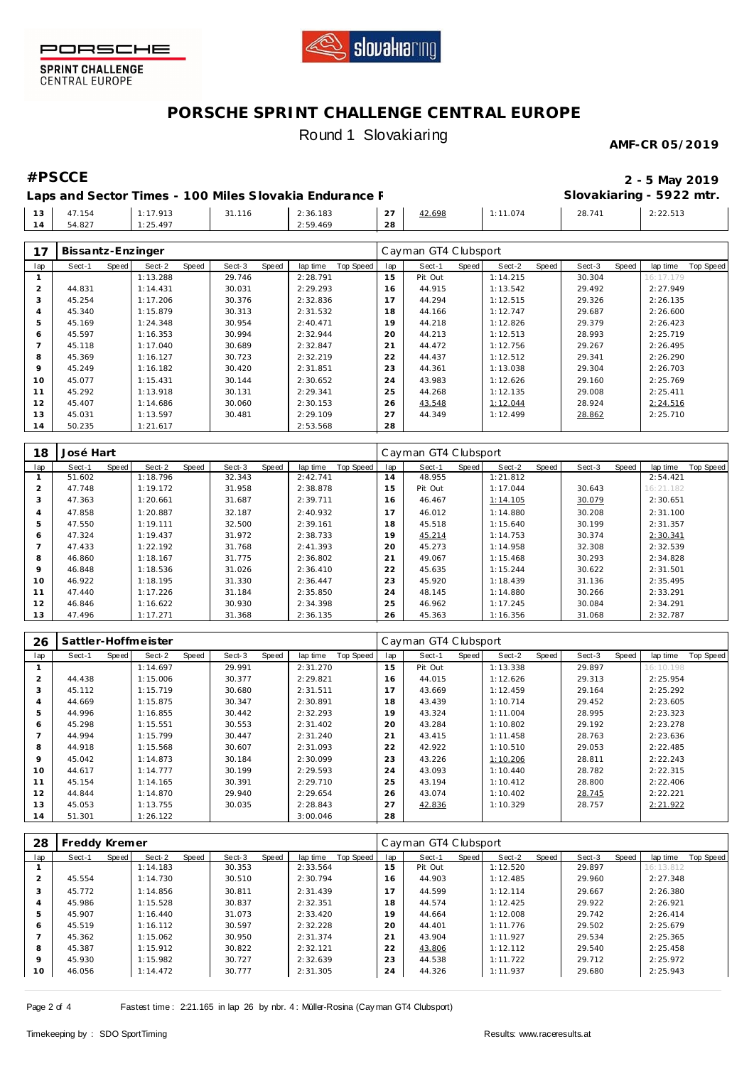



# **PORSCHE SPRINT CHALLENGE CENTRAL EUROPE** Round 1 Slovakiaring

### **AMF-CR 05/2019**

**#PSCCE 2 - 5 May 2019 Slovakiaring - 5922 mtr.**

Laps and Sector Times - 100 Miles Slovakia Endurance F

|             |        |          |        |          |               |        |          | .                                                         |                                                 |  |
|-------------|--------|----------|--------|----------|---------------|--------|----------|-----------------------------------------------------------|-------------------------------------------------|--|
| $\sqrt{10}$ | 47.154 | : 17.913 | 31.116 | 2:36.183 | $\cap$<br>، ے | 42.698 | 1:11.074 | 28.741<br>the contract of the contract of the contract of | 2:22.513<br>the contract of the contract of the |  |
| 14          | 54.827 | 1:25.497 |        | 2:59.469 | 28            |        |          |                                                           |                                                 |  |
|             |        |          |        |          |               |        |          |                                                           |                                                 |  |

| 17             | Bissantz-Enzinger |       |          |       |        |       |          |           |     | Cayman GT4 Clubsport |       |          |       |        |       |           |           |
|----------------|-------------------|-------|----------|-------|--------|-------|----------|-----------|-----|----------------------|-------|----------|-------|--------|-------|-----------|-----------|
| lap            | Sect-1            | Speed | Sect-2   | Speed | Sect-3 | Speed | lap time | Top Speed | lap | Sect-1               | Speed | Sect-2   | Speed | Sect-3 | Speed | lap time  | Top Speed |
|                |                   |       | 1:13.288 |       | 29.746 |       | 2:28.791 |           | 15  | Pit Out              |       | 1:14.215 |       | 30.304 |       | 16:17.179 |           |
| $\overline{2}$ | 44.831            |       | 1:14.431 |       | 30.031 |       | 2:29.293 |           | 16  | 44.915               |       | 1:13.542 |       | 29.492 |       | 2:27.949  |           |
| 3              | 45.254            |       | 1:17.206 |       | 30.376 |       | 2:32.836 |           | 17  | 44.294               |       | 1:12.515 |       | 29.326 |       | 2:26.135  |           |
| 4              | 45.340            |       | 1:15.879 |       | 30.313 |       | 2:31.532 |           | 18  | 44.166               |       | 1:12.747 |       | 29.687 |       | 2:26.600  |           |
| 5              | 45.169            |       | 1:24.348 |       | 30.954 |       | 2:40.471 |           | 19  | 44.218               |       | 1:12.826 |       | 29.379 |       | 2:26.423  |           |
| 6              | 45.597            |       | 1:16.353 |       | 30.994 |       | 2:32.944 |           | 20  | 44.213               |       | 1:12.513 |       | 28.993 |       | 2:25.719  |           |
|                | 45.118            |       | 1:17.040 |       | 30.689 |       | 2:32.847 |           | 21  | 44.472               |       | 1:12.756 |       | 29.267 |       | 2:26.495  |           |
| 8              | 45.369            |       | 1:16.127 |       | 30.723 |       | 2:32.219 |           | 22  | 44.437               |       | 1:12.512 |       | 29.341 |       | 2:26.290  |           |
| 9              | 45.249            |       | 1:16.182 |       | 30.420 |       | 2:31.851 |           | 23  | 44.361               |       | 1:13.038 |       | 29.304 |       | 2:26.703  |           |
| 10             | 45.077            |       | 1:15.431 |       | 30.144 |       | 2:30.652 |           | 24  | 43.983               |       | 1:12.626 |       | 29.160 |       | 2:25.769  |           |
| 11             | 45.292            |       | 1:13.918 |       | 30.131 |       | 2:29.341 |           | 25  | 44.268               |       | 1:12.135 |       | 29.008 |       | 2:25.411  |           |
| 12             | 45.407            |       | 1:14.686 |       | 30.060 |       | 2:30.153 |           | 26  | 43.548               |       | 1:12.044 |       | 28.924 |       | 2:24.516  |           |
| 13             | 45.031            |       | 1:13.597 |       | 30.481 |       | 2:29.109 |           | 27  | 44.349               |       | 1:12.499 |       | 28.862 |       | 2:25.710  |           |
| 14             | 50.235            |       | 1:21.617 |       |        |       | 2:53.568 |           | 28  |                      |       |          |       |        |       |           |           |

| 18            | José Hart |       |          |       |        |       |          |           |     | Cayman GT4 Clubsport |       |          |       |        |       |           |           |
|---------------|-----------|-------|----------|-------|--------|-------|----------|-----------|-----|----------------------|-------|----------|-------|--------|-------|-----------|-----------|
| lap           | Sect-1    | Speed | Sect-2   | Speed | Sect-3 | Speed | lap time | Top Speed | lap | Sect-1               | Speed | Sect-2   | Speed | Sect-3 | Speed | lap time  | Top Speed |
|               | 51.602    |       | 1:18.796 |       | 32.343 |       | 2:42.741 |           | 14  | 48.955               |       | 1:21.812 |       |        |       | 2:54.421  |           |
| $\mathcal{P}$ | 47.748    |       | 1:19.172 |       | 31.958 |       | 2:38.878 |           | 15  | Pit Out              |       | 1:17.044 |       | 30.643 |       | 16:21.182 |           |
| 3             | 47.363    |       | 1:20.661 |       | 31.687 |       | 2:39.711 |           | 16  | 46.467               |       | 1:14.105 |       | 30.079 |       | 2:30.651  |           |
| 4             | 47.858    |       | 1:20.887 |       | 32.187 |       | 2:40.932 |           |     | 46.012               |       | 1:14.880 |       | 30.208 |       | 2:31.100  |           |
| 5             | 47.550    |       | 1:19.111 |       | 32.500 |       | 2:39.161 |           | 18  | 45.518               |       | 1:15.640 |       | 30.199 |       | 2:31.357  |           |
| 6             | 47.324    |       | 1:19.437 |       | 31.972 |       | 2:38.733 |           | 19  | 45.214               |       | 1:14.753 |       | 30.374 |       | 2:30.341  |           |
|               | 47.433    |       | 1:22.192 |       | 31.768 |       | 2:41.393 |           | 20  | 45.273               |       | 1:14.958 |       | 32.308 |       | 2:32.539  |           |
| 8             | 46.860    |       | 1:18.167 |       | 31.775 |       | 2:36.802 |           | 21  | 49.067               |       | 1:15.468 |       | 30.293 |       | 2:34.828  |           |
| 9             | 46.848    |       | 1:18.536 |       | 31.026 |       | 2:36.410 |           | 22  | 45.635               |       | 1:15.244 |       | 30.622 |       | 2:31.501  |           |
| 10            | 46.922    |       | 1:18.195 |       | 31.330 |       | 2:36.447 |           | 23  | 45.920               |       | 1:18.439 |       | 31.136 |       | 2:35.495  |           |
| 11            | 47.440    |       | 1:17.226 |       | 31.184 |       | 2:35.850 |           | 24  | 48.145               |       | 1:14.880 |       | 30.266 |       | 2:33.291  |           |
| 12            | 46.846    |       | 1:16.622 |       | 30.930 |       | 2:34.398 |           | 25  | 46.962               |       | 1:17.245 |       | 30.084 |       | 2:34.291  |           |
| 13            | 47.496    |       | 1:17.271 |       | 31.368 |       | 2:36.135 |           | 26  | 45.363               |       | 1:16.356 |       | 31.068 |       | 2:32.787  |           |

| 26          | Sattler-Hoffmeister |       |          |       |        |       |          |           |     | Cayman GT4 Clubsport |       |          |       |        |       |           |           |
|-------------|---------------------|-------|----------|-------|--------|-------|----------|-----------|-----|----------------------|-------|----------|-------|--------|-------|-----------|-----------|
| lap         | Sect-1              | Speed | Sect-2   | Speed | Sect-3 | Speed | lap time | Top Speed | lap | Sect-1               | Speed | Sect-2   | Speed | Sect-3 | Speed | lap time  | Top Speed |
|             |                     |       | 1:14.697 |       | 29.991 |       | 2:31.270 |           | 15  | Pit Out              |       | 1:13.338 |       | 29.897 |       | 16:10.198 |           |
| 2           | 44.438              |       | 1:15.006 |       | 30.377 |       | 2:29.821 |           | 16  | 44.015               |       | 1:12.626 |       | 29.313 |       | 2:25.954  |           |
| 3           | 45.112              |       | 1:15.719 |       | 30.680 |       | 2:31.511 |           | 17  | 43.669               |       | 1:12.459 |       | 29.164 |       | 2:25.292  |           |
| 4           | 44.669              |       | 1:15.875 |       | 30.347 |       | 2:30.891 |           | 18  | 43.439               |       | 1:10.714 |       | 29.452 |       | 2:23.605  |           |
| 5           | 44.996              |       | 1:16.855 |       | 30.442 |       | 2:32.293 |           | 19  | 43.324               |       | 1:11.004 |       | 28.995 |       | 2:23.323  |           |
| 6           | 45.298              |       | 1:15.551 |       | 30.553 |       | 2:31.402 |           | 20  | 43.284               |       | 1:10.802 |       | 29.192 |       | 2:23.278  |           |
|             | 44.994              |       | 1:15.799 |       | 30.447 |       | 2:31.240 |           | 21  | 43.415               |       | 1:11.458 |       | 28.763 |       | 2:23.636  |           |
| 8           | 44.918              |       | 1:15.568 |       | 30.607 |       | 2:31.093 |           | 22  | 42.922               |       | 1:10.510 |       | 29.053 |       | 2:22.485  |           |
| $\mathsf Q$ | 45.042              |       | 1:14.873 |       | 30.184 |       | 2:30.099 |           | 23  | 43.226               |       | 1:10.206 |       | 28.811 |       | 2:22.243  |           |
| 10          | 44.617              |       | 1:14.777 |       | 30.199 |       | 2:29.593 |           | 24  | 43.093               |       | 1:10.440 |       | 28.782 |       | 2:22.315  |           |
| 11          | 45.154              |       | 1:14.165 |       | 30.391 |       | 2:29.710 |           | 25  | 43.194               |       | 1:10.412 |       | 28.800 |       | 2:22.406  |           |
| 12          | 44.844              |       | 1:14.870 |       | 29.940 |       | 2:29.654 |           | 26  | 43.074               |       | 1:10.402 |       | 28.745 |       | 2:22.221  |           |
| 13          | 45.053              |       | 1:13.755 |       | 30.035 |       | 2:28.843 |           | 27  | 42.836               |       | 1:10.329 |       | 28.757 |       | 2:21.922  |           |
| 14          | 51.301              |       | 1:26.122 |       |        |       | 3:00.046 |           | 28  |                      |       |          |       |        |       |           |           |

| 28             | Freddy Kremer |       |          |       |        |       |          |           |     | Cayman GT4 Clubsport |       |          |       |        |       |           |                  |
|----------------|---------------|-------|----------|-------|--------|-------|----------|-----------|-----|----------------------|-------|----------|-------|--------|-------|-----------|------------------|
| lap            | Sect-1        | Speed | Sect-2   | Speed | Sect-3 | Speed | lap time | Top Speed | lap | Sect-1               | Speed | Sect-2   | Speed | Sect-3 | Speed | lap time  | <b>Top Speed</b> |
|                |               |       | 1:14.183 |       | 30.353 |       | 2:33.564 |           | 15  | Pit Out              |       | 1:12.520 |       | 29.897 |       | 16:13.812 |                  |
| 2              | 45.554        |       | 1:14.730 |       | 30.510 |       | 2:30.794 |           | 16  | 44.903               |       | 1:12.485 |       | 29.960 |       | 2:27.348  |                  |
| 3              | 45.772        |       | 1:14.856 |       | 30.811 |       | 2:31.439 |           | 17  | 44.599               |       | 1:12.114 |       | 29.667 |       | 2:26.380  |                  |
| $\overline{A}$ | 45.986        |       | 1:15.528 |       | 30.837 |       | 2:32.351 |           | 18  | 44.574               |       | 1:12.425 |       | 29.922 |       | 2:26.921  |                  |
| 5              | 45.907        |       | 1:16.440 |       | 31.073 |       | 2:33.420 |           | 19  | 44.664               |       | 1:12.008 |       | 29.742 |       | 2:26.414  |                  |
| 6              | 45.519        |       | 1:16.112 |       | 30.597 |       | 2:32.228 |           | 20  | 44.401               |       | 1:11.776 |       | 29.502 |       | 2:25.679  |                  |
|                | 45.362        |       | 1:15.062 |       | 30.950 |       | 2:31.374 |           | 21  | 43.904               |       | 1:11.927 |       | 29.534 |       | 2:25.365  |                  |
| 8              | 45.387        |       | 1:15.912 |       | 30.822 |       | 2:32.121 |           | 22  | 43.806               |       | 1:12.112 |       | 29.540 |       | 2:25.458  |                  |
| $\circ$        | 45.930        |       | 1:15.982 |       | 30.727 |       | 2:32.639 |           | 23  | 44.538               |       | 1:11.722 |       | 29.712 |       | 2:25.972  |                  |
| 10             | 46.056        |       | 1:14.472 |       | 30.777 |       | 2:31.305 |           | 24  | 44.326               |       | 1:11.937 |       | 29.680 |       | 2:25.943  |                  |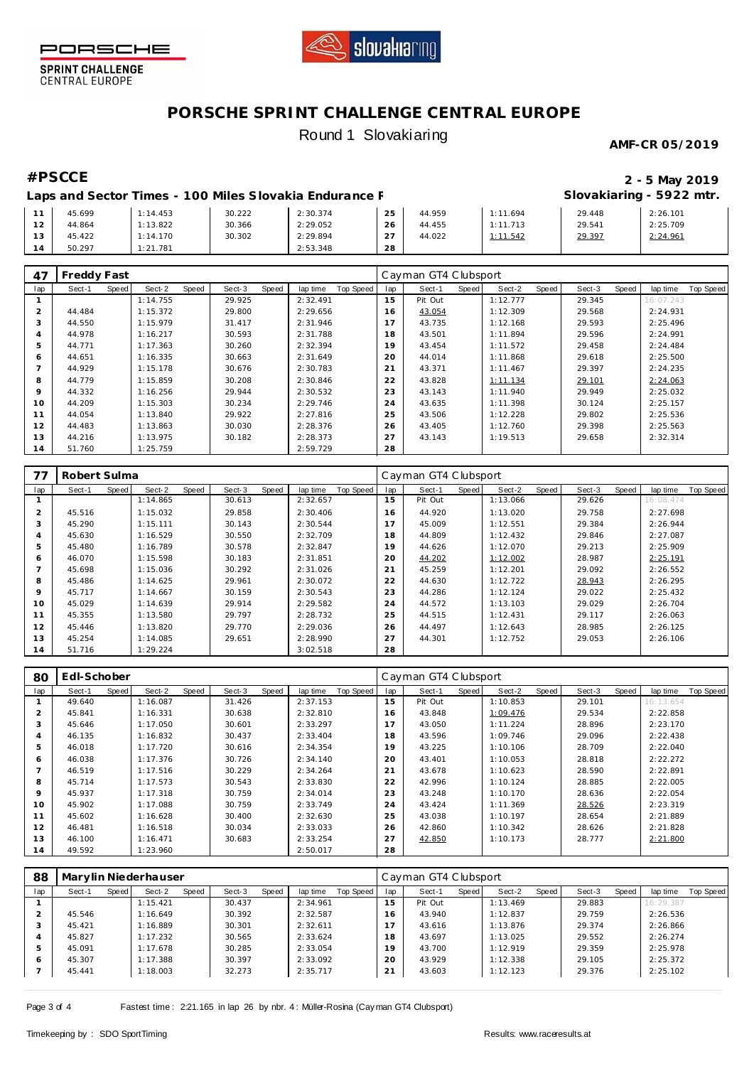



# **PORSCHE SPRINT CHALLENGE CENTRAL EUROPE** Round 1 Slovakiaring

### **AMF-CR 05/2019**

## **#PSCCE 2 - 5 May 2019 Slovakiaring - 5922 mtr.**

Laps and Sector Times - 100 Miles Slovakia Endurance F

|   | 45.699 | 1:14.453 | 30.222 | 2:30.374 | つら<br>$\sim$              | 44.959 | 1.694         | 29.448 | 2:26.101 |
|---|--------|----------|--------|----------|---------------------------|--------|---------------|--------|----------|
| - | 44.864 | 1:13.822 | 30.366 | 2:29.052 | 26                        | 44.455 | 1.713<br>1.11 | 29.541 | 2:25.709 |
|   | 45.422 | 1:14.170 | 30.302 | 2:29.894 | $\sim$ $\sim$<br><u>.</u> | 44.022 | 1.542         | 29.397 | 2:24.961 |
|   | 50.297 | 1:21.781 |        | 2:53.348 | 28                        |        |               |        |          |

| 47      | Freddy Fast |       |          |       |        |       |          |           |                | Cayman GT4 Clubsport |       |          |       |        |       |           |           |
|---------|-------------|-------|----------|-------|--------|-------|----------|-----------|----------------|----------------------|-------|----------|-------|--------|-------|-----------|-----------|
| lap     | Sect-1      | Speed | Sect-2   | Speed | Sect-3 | Speed | lap time | Top Speed | lap            | Sect-1               | Speed | Sect-2   | Speed | Sect-3 | Speed | lap time  | Top Speed |
|         |             |       | 1:14.755 |       | 29.925 |       | 2:32.491 |           | 15             | Pit Out              |       | 1:12.777 |       | 29.345 |       | 16:07.243 |           |
| 2       | 44.484      |       | 1:15.372 |       | 29.800 |       | 2:29.656 |           | 16             | 43.054               |       | 1:12.309 |       | 29.568 |       | 2:24.931  |           |
| 3       | 44.550      |       | 1:15.979 |       | 31.417 |       | 2:31.946 |           |                | 43.735               |       | 1:12.168 |       | 29.593 |       | 2:25.496  |           |
| 4       | 44.978      |       | 1:16.217 |       | 30.593 |       | 2:31.788 |           | 18             | 43.501               |       | 1:11.894 |       | 29.596 |       | 2:24.991  |           |
| 5       | 44.771      |       | 1:17.363 |       | 30.260 |       | 2:32.394 |           | 19             | 43.454               |       | 1:11.572 |       | 29.458 |       | 2:24.484  |           |
| 6       | 44.651      |       | 1:16.335 |       | 30.663 |       | 2:31.649 |           | 20             | 44.014               |       | 1:11.868 |       | 29.618 |       | 2:25.500  |           |
|         | 44.929      |       | 1:15.178 |       | 30.676 |       | 2:30.783 |           | 2 <sup>1</sup> | 43.371               |       | 1:11.467 |       | 29.397 |       | 2:24.235  |           |
| 8       | 44.779      |       | 1:15.859 |       | 30.208 |       | 2:30.846 |           | 22             | 43.828               |       | 1:11.134 |       | 29.101 |       | 2:24.063  |           |
| $\circ$ | 44.332      |       | 1:16.256 |       | 29.944 |       | 2:30.532 |           | 23             | 43.143               |       | 1:11.940 |       | 29.949 |       | 2:25.032  |           |
| 10      | 44.209      |       | 1:15.303 |       | 30.234 |       | 2:29.746 |           | 24             | 43.635               |       | 1:11.398 |       | 30.124 |       | 2:25.157  |           |
| 11      | 44.054      |       | 1:13.840 |       | 29.922 |       | 2:27.816 |           | 25             | 43.506               |       | 1:12.228 |       | 29.802 |       | 2:25.536  |           |
| 12      | 44.483      |       | 1:13.863 |       | 30.030 |       | 2:28.376 |           | 26             | 43.405               |       | 1:12.760 |       | 29.398 |       | 2:25.563  |           |
| 13      | 44.216      |       | 1:13.975 |       | 30.182 |       | 2:28.373 |           | 27             | 43.143               |       | 1:19.513 |       | 29.658 |       | 2:32.314  |           |
| 14      | 51.760      |       | 1:25.759 |       |        |       | 2:59.729 |           | 28             |                      |       |          |       |        |       |           |           |

| 77  | Robert Sulma    |                 |                 |                       |     | Cayman GT4 Clubsport |       |          |       |        |       |           |           |
|-----|-----------------|-----------------|-----------------|-----------------------|-----|----------------------|-------|----------|-------|--------|-------|-----------|-----------|
| lap | Speed<br>Sect-1 | Speed<br>Sect-2 | Sect-3<br>Speed | Top Speed<br>lap time | lap | Sect-1               | Speed | Sect-2   | Speed | Sect-3 | Speed | lap time  | Top Speed |
|     |                 | 1:14.865        | 30.613          | 2:32.657              | 15  | Pit Out              |       | 1:13.066 |       | 29.626 |       | 16:08.474 |           |
| 2   | 45.516          | 1:15.032        | 29.858          | 2:30.406              | 16  | 44.920               |       | 1:13.020 |       | 29.758 |       | 2:27.698  |           |
| 3   | 45.290          | 1:15.111        | 30.143          | 2:30.544              |     | 45.009               |       | 1:12.551 |       | 29.384 |       | 2:26.944  |           |
| 4   | 45.630          | 1:16.529        | 30.550          | 2:32.709              | 18  | 44.809               |       | 1:12.432 |       | 29.846 |       | 2:27.087  |           |
| 5   | 45.480          | 1:16.789        | 30.578          | 2:32.847              | 19  | 44.626               |       | 1:12.070 |       | 29.213 |       | 2:25.909  |           |
| 6   | 46.070          | 1:15.598        | 30.183          | 2:31.851              | 20  | 44.202               |       | 1:12.002 |       | 28.987 |       | 2:25.191  |           |
|     | 45.698          | 1:15.036        | 30.292          | 2:31.026              | 21  | 45.259               |       | 1:12.201 |       | 29.092 |       | 2:26.552  |           |
| 8   | 45.486          | 1:14.625        | 29.961          | 2:30.072              | 22  | 44.630               |       | 1:12.722 |       | 28.943 |       | 2:26.295  |           |
| 9   | 45.717          | 1:14.667        | 30.159          | 2:30.543              | 23  | 44.286               |       | 1:12.124 |       | 29.022 |       | 2:25.432  |           |
| 10  | 45.029          | 1:14.639        | 29.914          | 2:29.582              | 24  | 44.572               |       | 1:13.103 |       | 29.029 |       | 2:26.704  |           |
| 11  | 45.355          | 1:13.580        | 29.797          | 2:28.732              | 25  | 44.515               |       | 1:12.431 |       | 29.117 |       | 2:26.063  |           |
| 12  | 45.446          | 1:13.820        | 29.770          | 2:29.036              | 26  | 44.497               |       | 1:12.643 |       | 28.985 |       | 2:26.125  |           |
| 13  | 45.254          | 1:14.085        | 29.651          | 2:28.990              | 27  | 44.301               |       | 1:12.752 |       | 29.053 |       | 2:26.106  |           |
| 14  | 51.716          | 1:29.224        |                 | 3:02.518              | 28  |                      |       |          |       |        |       |           |           |

| 80             | Edl-Schober |       |          |       |        |       |          | Cayman GT4 Clubsport |     |         |       |          |       |        |       |           |           |
|----------------|-------------|-------|----------|-------|--------|-------|----------|----------------------|-----|---------|-------|----------|-------|--------|-------|-----------|-----------|
| lap            | Sect-1      | Speed | Sect-2   | Speed | Sect-3 | Speed | lap time | Top Speed            | lap | Sect-1  | Speed | Sect-2   | Speed | Sect-3 | Speed | lap time  | Top Speed |
|                | 49.640      |       | 1:16.087 |       | 31.426 |       | 2:37.153 |                      | 15  | Pit Out |       | 1:10.853 |       | 29.101 |       | 16:13.654 |           |
| $\overline{2}$ | 45.841      |       | 1:16.331 |       | 30.638 |       | 2:32.810 |                      | 16  | 43.848  |       | 1:09.476 |       | 29.534 |       | 2:22.858  |           |
| 3              | 45.646      |       | 1:17.050 |       | 30.601 |       | 2:33.297 |                      |     | 43.050  |       | 1:11.224 |       | 28.896 |       | 2:23.170  |           |
| 4              | 46.135      |       | 1:16.832 |       | 30.437 |       | 2:33.404 |                      | 18  | 43.596  |       | 1:09.746 |       | 29.096 |       | 2:22.438  |           |
| 5              | 46.018      |       | 1:17.720 |       | 30.616 |       | 2:34.354 |                      | 19  | 43.225  |       | 1:10.106 |       | 28.709 |       | 2:22.040  |           |
| 6              | 46.038      |       | 1:17.376 |       | 30.726 |       | 2:34.140 |                      | 20  | 43.401  |       | 1:10.053 |       | 28.818 |       | 2:22.272  |           |
|                | 46.519      |       | 1:17.516 |       | 30.229 |       | 2:34.264 |                      | 21  | 43.678  |       | 1:10.623 |       | 28.590 |       | 2:22.891  |           |
| 8              | 45.714      |       | 1:17.573 |       | 30.543 |       | 2:33.830 |                      | 22  | 42.996  |       | 1:10.124 |       | 28.885 |       | 2:22.005  |           |
| $\circ$        | 45.937      |       | 1:17.318 |       | 30.759 |       | 2:34.014 |                      | 23  | 43.248  |       | 1:10.170 |       | 28.636 |       | 2:22.054  |           |
| 10             | 45.902      |       | 1:17.088 |       | 30.759 |       | 2:33.749 |                      | 24  | 43.424  |       | 1:11.369 |       | 28.526 |       | 2:23.319  |           |
| 11             | 45.602      |       | 1:16.628 |       | 30.400 |       | 2:32.630 |                      | 25  | 43.038  |       | 1:10.197 |       | 28.654 |       | 2:21.889  |           |
| 12             | 46.481      |       | 1:16.518 |       | 30.034 |       | 2:33.033 |                      | 26  | 42.860  |       | 1:10.342 |       | 28.626 |       | 2:21.828  |           |
| 13             | 46.100      |       | 1:16.471 |       | 30.683 |       | 2:33.254 |                      | 27  | 42.850  |       | 1:10.173 |       | 28.777 |       | 2:21.800  |           |
| 14             | 49.592      |       | 1:23.960 |       |        |       | 2:50.017 |                      | 28  |         |       |          |       |        |       |           |           |

| 88  | Marylin Niederhauser |         |          |       |        |       |          | Cayman GT4 Clubsport |     |         |       |          |       |        |       |           |           |
|-----|----------------------|---------|----------|-------|--------|-------|----------|----------------------|-----|---------|-------|----------|-------|--------|-------|-----------|-----------|
| lap | Sect-1               | Speed I | Sect-2   | Speed | Sect-3 | Speed | lap time | Top Speed            | lap | Sect-1  | Speed | Sect-2   | Speed | Sect-3 | Speed | lap time  | Top Speed |
|     |                      |         | 1:15.421 |       | 30.437 |       | 2:34.961 |                      | 15  | Pit Out |       | 1:13.469 |       | 29.883 |       | 16:29.387 |           |
|     | 45.546               |         | 1:16.649 |       | 30.392 |       | 2:32.587 |                      | 16  | 43.940  |       | 1:12.837 |       | 29.759 |       | 2:26.536  |           |
| 3   | 45.421               |         | 1:16.889 |       | 30.301 |       | 2:32.611 |                      |     | 43.616  |       | 1:13.876 |       | 29.374 |       | 2:26.866  |           |
|     | 45.827               |         | 1:17.232 |       | 30.565 |       | 2:33.624 |                      | 18  | 43.697  |       | 1:13.025 |       | 29.552 |       | 2:26.274  |           |
| 5   | 45.091               |         | 1:17.678 |       | 30.285 |       | 2:33.054 |                      | 19  | 43.700  |       | 1:12.919 |       | 29.359 |       | 2:25.978  |           |
| 6   | 45.307               |         | 1:17.388 |       | 30.397 |       | 2:33.092 |                      | 20  | 43.929  |       | 1:12.338 |       | 29.105 |       | 2:25.372  |           |
|     | 45.441               |         | 1:18.003 |       | 32.273 |       | 2:35.717 |                      | 21  | 43.603  |       | 1:12.123 |       | 29.376 |       | 2:25.102  |           |